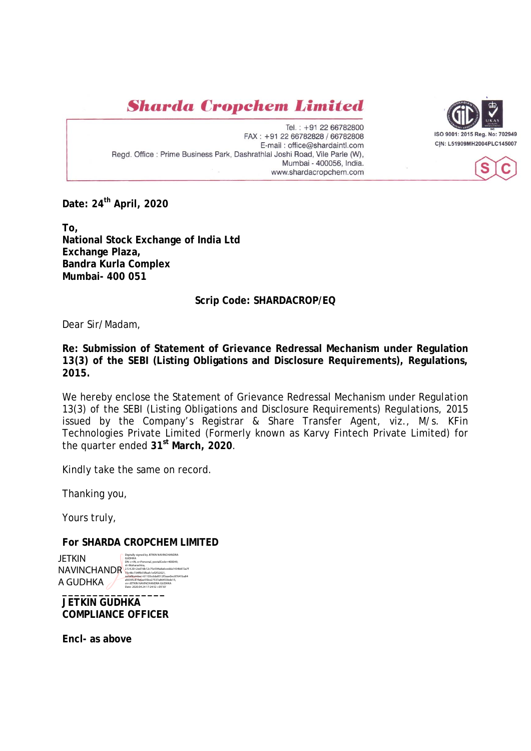**Sharda Cropchem Limited** 

Tel.: +91 22 66782800 FAX: +91 22 66782828 / 66782808 E-mail: office@shardaintl.com Regd. Office : Prime Business Park, Dashrathlal Joshi Road, Vile Parle (W), Mumbai - 400056, India. www.shardacropchem.com





**To, National Stock Exchange of India Ltd Exchange Plaza, Bandra Kurla Complex Mumbai- 400 051** 

## **Scrip Code: SHARDACROP/EQ**

Dear Sir/Madam,

**Re: Submission of Statement of Grievance Redressal Mechanism under Regulation 13(3) of the SEBI (Listing Obligations and Disclosure Requirements), Regulations, 2015.** 

We hereby enclose the Statement of Grievance Redressal Mechanism under Regulation 13(3) of the SEBI (Listing Obligations and Disclosure Requirements) Regulations, 2015 issued by the Company's Registrar & Share Transfer Agent, viz., M/s. KFin Technologies Private Limited (Formerly known as Karvy Fintech Private Limited) for the quarter ended **31st March, 2020**.

Kindly take the same on record.

Thanking you,

Yours truly,

**For SHARDA CROPCHEM LIMITED** 

Date: 2020.04.24 17:24:52 +05'30" **JETKIN** NAVINCHANDR<sup>325A20=2ed7db12c75e594a8a6cedda1434b872a7f</sup> A GUDHKA Digitally signed by JETKIN NAVINCHANDRA GUDHKA DN: c=IN, o=Personal, postalCode=400049, serialNumber=61103cdda8512f3aae0ec87641ba84 afd395c81fa6ae55be27537a86453bde15, cn=JETKIN NAVINCHANDRA GUDHKA Date: 2020.04.24 17:24:52 +05'30'

**JETKIN GUDHKA COMPLIANCE OFFICER** 

**Encl- as above**